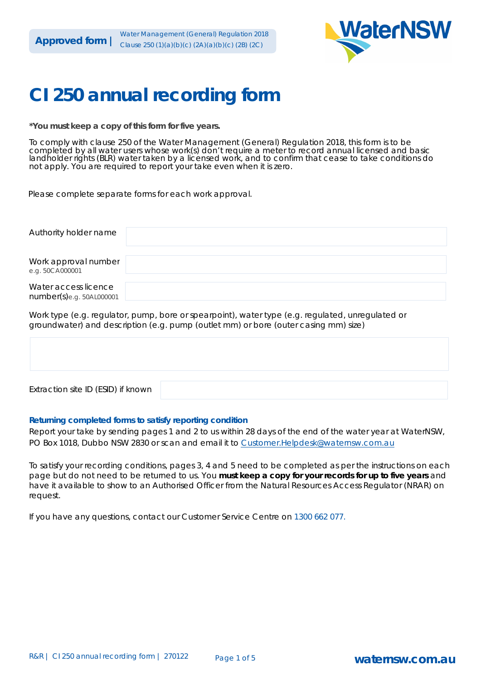

# **CI 250 annual recording form**

\*You must keep a copy of this form for five years.

To comply with clause 250 of the Water Management (General) Regulation 2018, this form is to be completed by all water users whose work(s) don't require a meter to record annual licensed and basic landholder rights (BLR) water taken by a licensed work, and to confirm that cease to take conditions do not apply. You are required to report your take even when it is zero.

Please complete separate forms for each work approval.

| Authority holder name                               |  |
|-----------------------------------------------------|--|
| Work approval number<br>e.g. 50CA000001             |  |
| Water access licence<br>$number(s)$ e.g. 50AL000001 |  |

Work type (e.g. regulator, pump, bore or spearpoint), water type (e.g. regulated, unregulated or groundwater) and description (e.g. pump (outlet mm) or bore (outer casing mm) size)

| Extraction site ID (ESID) if known |  |
|------------------------------------|--|

#### Returning completed forms to satisfy reporting condition

Report your take by sending pages 1 and 2 to us within 28 days of the end of the water year at WaterNSW, PO Box 1018, Dubbo NSW 2830 or scan and email it to Customer. Helpdesk@waternsw.com.au

To satisfy your recording conditions, pages 3, 4 and 5 need to be completed as per the instructions on each page but do not need to be returned to us. You must keep a copy for your records for up to five years and have it available to show to an Authorised Officer from the Natural Resources Access Regulator (NRAR) on request.

If you have any questions, contact our Customer Service Centre on 1300 662 077.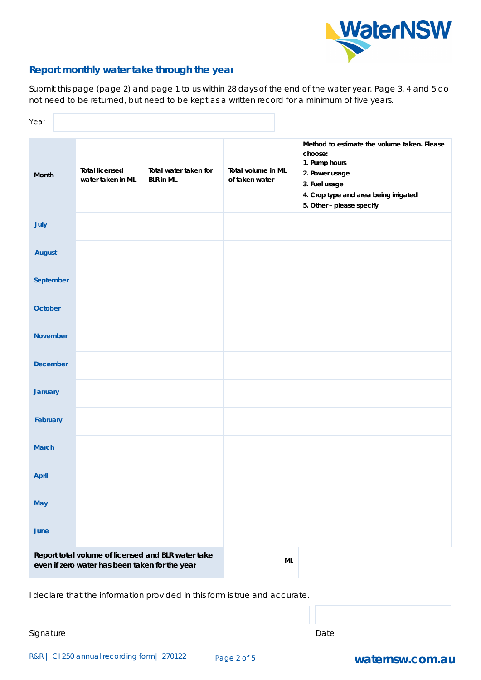

## Report monthly water take through the year

Submit this page (page 2) and page 1 to us within 28 days of the end of the water year. Page 3, 4 and 5 do not need to be returned, but need to be kept as a written record for a minimum of five years.

| Year            |                                                |                                                    |                                      |                                                                                                                                                                                  |
|-----------------|------------------------------------------------|----------------------------------------------------|--------------------------------------|----------------------------------------------------------------------------------------------------------------------------------------------------------------------------------|
| Month           | <b>Total licensed</b><br>water taken in ML     | Total water taken for<br><b>BLR</b> in ML          | Total volume in ML<br>of taken water | Method to estimate the volume taken. Please<br>choose:<br>1. Pump hours<br>2. Power usage<br>3. Fuel usage<br>4. Crop type and area being irrigated<br>5. Other - please specify |
| July            |                                                |                                                    |                                      |                                                                                                                                                                                  |
| <b>August</b>   |                                                |                                                    |                                      |                                                                                                                                                                                  |
| September       |                                                |                                                    |                                      |                                                                                                                                                                                  |
| October         |                                                |                                                    |                                      |                                                                                                                                                                                  |
| <b>November</b> |                                                |                                                    |                                      |                                                                                                                                                                                  |
| <b>December</b> |                                                |                                                    |                                      |                                                                                                                                                                                  |
| <b>January</b>  |                                                |                                                    |                                      |                                                                                                                                                                                  |
| February        |                                                |                                                    |                                      |                                                                                                                                                                                  |
| <b>March</b>    |                                                |                                                    |                                      |                                                                                                                                                                                  |
| April           |                                                |                                                    |                                      |                                                                                                                                                                                  |
| May             |                                                |                                                    |                                      |                                                                                                                                                                                  |
| June            |                                                |                                                    |                                      |                                                                                                                                                                                  |
|                 | even if zero water has been taken for the year | Report total volume of licensed and BLR water take | $\sf ML$                             |                                                                                                                                                                                  |

I declare that the information provided in this form is true and accurate.

Signature

Date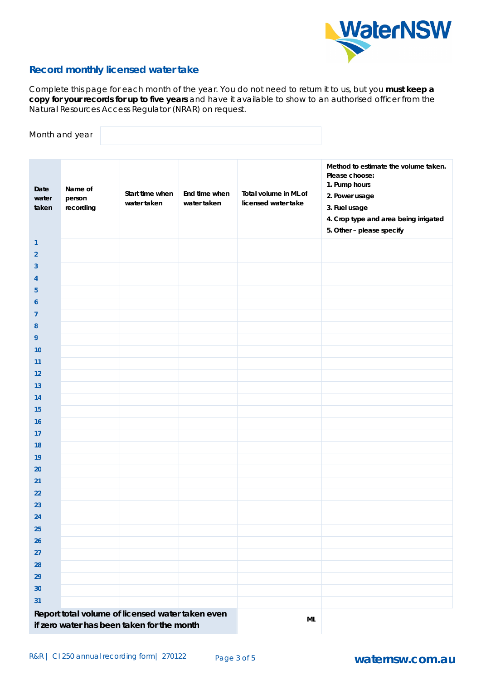

#### **Record monthly licensed water take**

Complete this page for each month of the year. You do not need to return it to us, but you must keep a copy for your records for up to five years and have it available to show to an authorised officer from the Natural Resources Access Regulator (NRAR) on request.

|                        | Month and year                 |                                                  |                              |                                              |                                                                                                                                                                                  |
|------------------------|--------------------------------|--------------------------------------------------|------------------------------|----------------------------------------------|----------------------------------------------------------------------------------------------------------------------------------------------------------------------------------|
| Date<br>water<br>taken | Name of<br>person<br>recording | Start time when<br>water taken                   | End time when<br>water taken | Total volume in ML of<br>licensed water take | Method to estimate the volume taken.<br>Please choose:<br>1. Pump hours<br>2. Power usage<br>3. Fuel usage<br>4. Crop type and area being irrigated<br>5. Other - please specify |
| $\mathbf{1}$           |                                |                                                  |                              |                                              |                                                                                                                                                                                  |
| $\overline{2}$         |                                |                                                  |                              |                                              |                                                                                                                                                                                  |
| 3                      |                                |                                                  |                              |                                              |                                                                                                                                                                                  |
| 4                      |                                |                                                  |                              |                                              |                                                                                                                                                                                  |
| 5                      |                                |                                                  |                              |                                              |                                                                                                                                                                                  |
| 6                      |                                |                                                  |                              |                                              |                                                                                                                                                                                  |
| $\overline{7}$         |                                |                                                  |                              |                                              |                                                                                                                                                                                  |
| 8                      |                                |                                                  |                              |                                              |                                                                                                                                                                                  |
| 9                      |                                |                                                  |                              |                                              |                                                                                                                                                                                  |
| 10                     |                                |                                                  |                              |                                              |                                                                                                                                                                                  |
| 11                     |                                |                                                  |                              |                                              |                                                                                                                                                                                  |
| 12                     |                                |                                                  |                              |                                              |                                                                                                                                                                                  |
| 13                     |                                |                                                  |                              |                                              |                                                                                                                                                                                  |
| 14                     |                                |                                                  |                              |                                              |                                                                                                                                                                                  |
| 15<br>16               |                                |                                                  |                              |                                              |                                                                                                                                                                                  |
| 17                     |                                |                                                  |                              |                                              |                                                                                                                                                                                  |
| 18                     |                                |                                                  |                              |                                              |                                                                                                                                                                                  |
| 19                     |                                |                                                  |                              |                                              |                                                                                                                                                                                  |
| 20                     |                                |                                                  |                              |                                              |                                                                                                                                                                                  |
| 21                     |                                |                                                  |                              |                                              |                                                                                                                                                                                  |
| 22                     |                                |                                                  |                              |                                              |                                                                                                                                                                                  |
| 23                     |                                |                                                  |                              |                                              |                                                                                                                                                                                  |
| 24                     |                                |                                                  |                              |                                              |                                                                                                                                                                                  |
| 25                     |                                |                                                  |                              |                                              |                                                                                                                                                                                  |
| 26                     |                                |                                                  |                              |                                              |                                                                                                                                                                                  |
| 27                     |                                |                                                  |                              |                                              |                                                                                                                                                                                  |
| 28                     |                                |                                                  |                              |                                              |                                                                                                                                                                                  |
| 29                     |                                |                                                  |                              |                                              |                                                                                                                                                                                  |
| 30                     |                                |                                                  |                              |                                              |                                                                                                                                                                                  |
| 31                     |                                |                                                  |                              |                                              |                                                                                                                                                                                  |
|                        |                                | Report total volume of licensed water taken even |                              |                                              |                                                                                                                                                                                  |
|                        |                                | if zero water has been taken for the month       |                              | $\sf ML$                                     |                                                                                                                                                                                  |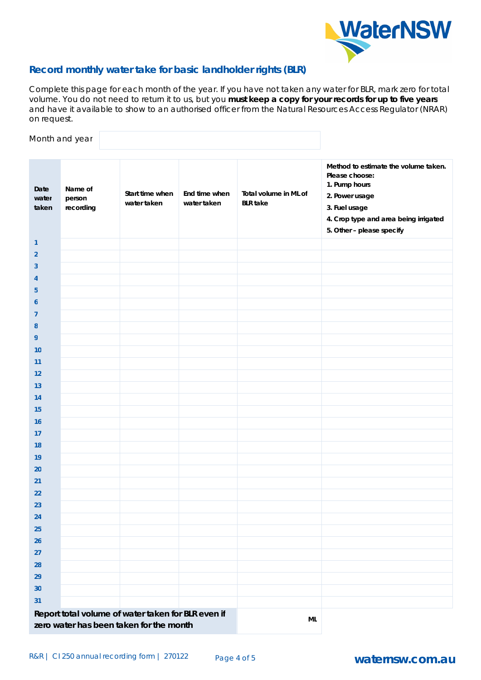

## Record monthly water take for basic landholder rights (BLR)

Complete this page for each month of the year. If you have not taken any water for BLR, mark zero for total volume. You do not need to return it to us, but you must keep a copy for your records for up to five years and have it available to show to an authorised officer from the Natural Resources Access Regulator (NRAR) on request.

Month and year

| Date<br>water<br>taken | Name of<br>person<br>recording | Start time when<br>water taken                     | End time when<br>water taken | Total volume in ML of<br><b>BLR</b> take | Method to estimate the volume taken.<br>Please choose:<br>1. Pump hours<br>2. Power usage<br>3. Fuel usage<br>4. Crop type and area being irrigated<br>5. Other - please specify |
|------------------------|--------------------------------|----------------------------------------------------|------------------------------|------------------------------------------|----------------------------------------------------------------------------------------------------------------------------------------------------------------------------------|
| $\mathbf{1}$           |                                |                                                    |                              |                                          |                                                                                                                                                                                  |
| $\overline{2}$         |                                |                                                    |                              |                                          |                                                                                                                                                                                  |
| 3                      |                                |                                                    |                              |                                          |                                                                                                                                                                                  |
| 4                      |                                |                                                    |                              |                                          |                                                                                                                                                                                  |
| 5                      |                                |                                                    |                              |                                          |                                                                                                                                                                                  |
| 6                      |                                |                                                    |                              |                                          |                                                                                                                                                                                  |
| $\overline{7}$         |                                |                                                    |                              |                                          |                                                                                                                                                                                  |
| 8                      |                                |                                                    |                              |                                          |                                                                                                                                                                                  |
| 9                      |                                |                                                    |                              |                                          |                                                                                                                                                                                  |
| 10                     |                                |                                                    |                              |                                          |                                                                                                                                                                                  |
| 11                     |                                |                                                    |                              |                                          |                                                                                                                                                                                  |
| 12                     |                                |                                                    |                              |                                          |                                                                                                                                                                                  |
| 13                     |                                |                                                    |                              |                                          |                                                                                                                                                                                  |
| 14                     |                                |                                                    |                              |                                          |                                                                                                                                                                                  |
| 15                     |                                |                                                    |                              |                                          |                                                                                                                                                                                  |
| 16                     |                                |                                                    |                              |                                          |                                                                                                                                                                                  |
| 17                     |                                |                                                    |                              |                                          |                                                                                                                                                                                  |
| 18                     |                                |                                                    |                              |                                          |                                                                                                                                                                                  |
| 19                     |                                |                                                    |                              |                                          |                                                                                                                                                                                  |
| 20                     |                                |                                                    |                              |                                          |                                                                                                                                                                                  |
| 21                     |                                |                                                    |                              |                                          |                                                                                                                                                                                  |
| 22                     |                                |                                                    |                              |                                          |                                                                                                                                                                                  |
| 23                     |                                |                                                    |                              |                                          |                                                                                                                                                                                  |
| 24                     |                                |                                                    |                              |                                          |                                                                                                                                                                                  |
| 25                     |                                |                                                    |                              |                                          |                                                                                                                                                                                  |
| 26                     |                                |                                                    |                              |                                          |                                                                                                                                                                                  |
| 27                     |                                |                                                    |                              |                                          |                                                                                                                                                                                  |
| 28                     |                                |                                                    |                              |                                          |                                                                                                                                                                                  |
| 29                     |                                |                                                    |                              |                                          |                                                                                                                                                                                  |
| 30                     |                                |                                                    |                              |                                          |                                                                                                                                                                                  |
| 31                     |                                |                                                    |                              |                                          |                                                                                                                                                                                  |
|                        |                                | Report total volume of water taken for BLR even if |                              |                                          |                                                                                                                                                                                  |
|                        |                                | zero water has been taken for the month            |                              | $\sf ML$                                 |                                                                                                                                                                                  |